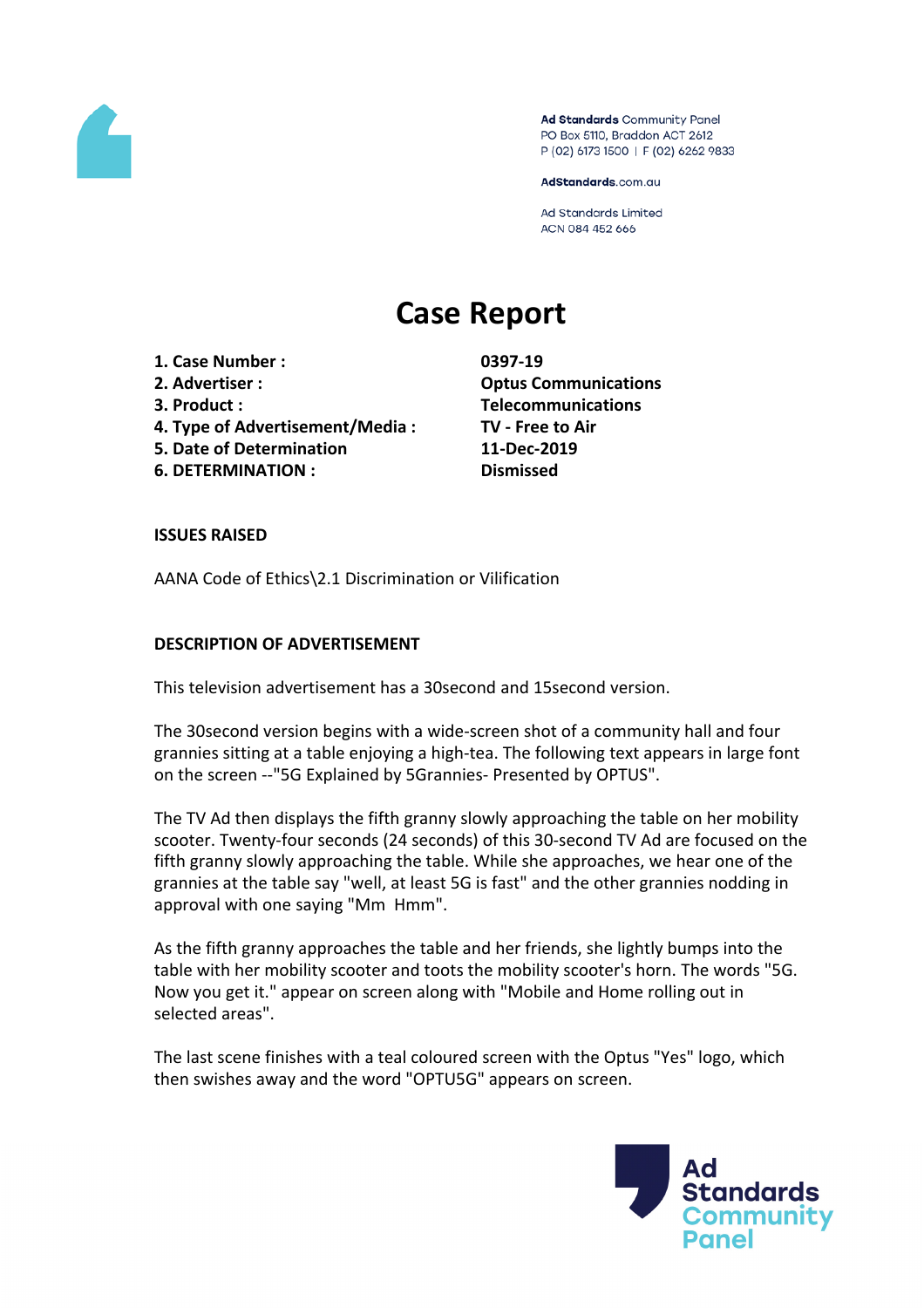

Ad Standards Community Panel PO Box 5110, Braddon ACT 2612 P (02) 6173 1500 | F (02) 6262 9833

AdStandards.com.au

**Ad Standards Limited** ACN 084 452 666

# **Case Report**

**1. Case Number : 0397-19**

- 
- 
- **4. Type of Advertisement/Media : TV - Free to Air**
- **5. Date of Determination 11-Dec-2019**
- **6. DETERMINATION : Dismissed**

**2. Advertiser : Optus Communications 3. Product : Telecommunications**

## **ISSUES RAISED**

AANA Code of Ethics\2.1 Discrimination or Vilification

## **DESCRIPTION OF ADVERTISEMENT**

This television advertisement has a 30second and 15second version.

The 30second version begins with a wide-screen shot of a community hall and four grannies sitting at a table enjoying a high-tea. The following text appears in large font on the screen --"5G Explained by 5Grannies- Presented by OPTUS".

The TV Ad then displays the fifth granny slowly approaching the table on her mobility scooter. Twenty-four seconds (24 seconds) of this 30-second TV Ad are focused on the fifth granny slowly approaching the table. While she approaches, we hear one of the grannies at the table say "well, at least 5G is fast" and the other grannies nodding in approval with one saying "Mm Hmm".

As the fifth granny approaches the table and her friends, she lightly bumps into the table with her mobility scooter and toots the mobility scooter's horn. The words "5G. Now you get it." appear on screen along with "Mobile and Home rolling out in selected areas".

The last scene finishes with a teal coloured screen with the Optus "Yes" logo, which then swishes away and the word "OPTU5G" appears on screen.

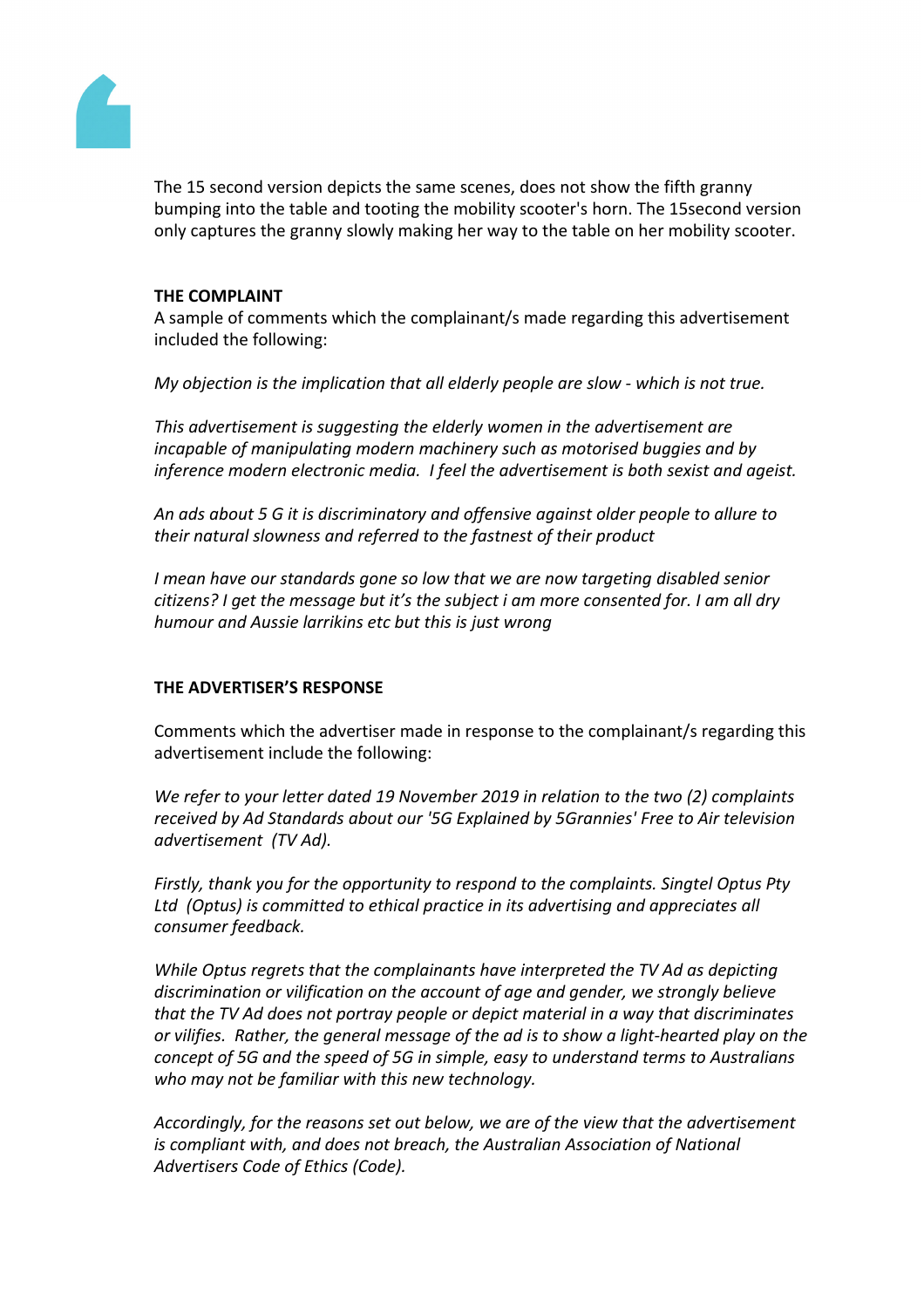

The 15 second version depicts the same scenes, does not show the fifth granny bumping into the table and tooting the mobility scooter's horn. The 15second version only captures the granny slowly making her way to the table on her mobility scooter.

#### **THE COMPLAINT**

A sample of comments which the complainant/s made regarding this advertisement included the following:

*My objection is the implication that all elderly people are slow - which is not true.*

*This advertisement is suggesting the elderly women in the advertisement are incapable of manipulating modern machinery such as motorised buggies and by inference modern electronic media. I feel the advertisement is both sexist and ageist.*

*An ads about 5 G it is discriminatory and offensive against older people to allure to their natural slowness and referred to the fastnest of their product*

*I mean have our standards gone so low that we are now targeting disabled senior citizens? I get the message but it's the subject i am more consented for. I am all dry humour and Aussie larrikins etc but this is just wrong*

#### **THE ADVERTISER'S RESPONSE**

Comments which the advertiser made in response to the complainant/s regarding this advertisement include the following:

*We refer to your letter dated 19 November 2019 in relation to the two (2) complaints received by Ad Standards about our '5G Explained by 5Grannies' Free to Air television advertisement (TV Ad).*

*Firstly, thank you for the opportunity to respond to the complaints. Singtel Optus Pty Ltd (Optus) is committed to ethical practice in its advertising and appreciates all consumer feedback.*

*While Optus regrets that the complainants have interpreted the TV Ad as depicting discrimination or vilification on the account of age and gender, we strongly believe that the TV Ad does not portray people or depict material in a way that discriminates or vilifies. Rather, the general message of the ad is to show a light-hearted play on the concept of 5G and the speed of 5G in simple, easy to understand terms to Australians who may not be familiar with this new technology.*

*Accordingly, for the reasons set out below, we are of the view that the advertisement is compliant with, and does not breach, the Australian Association of National Advertisers Code of Ethics (Code).*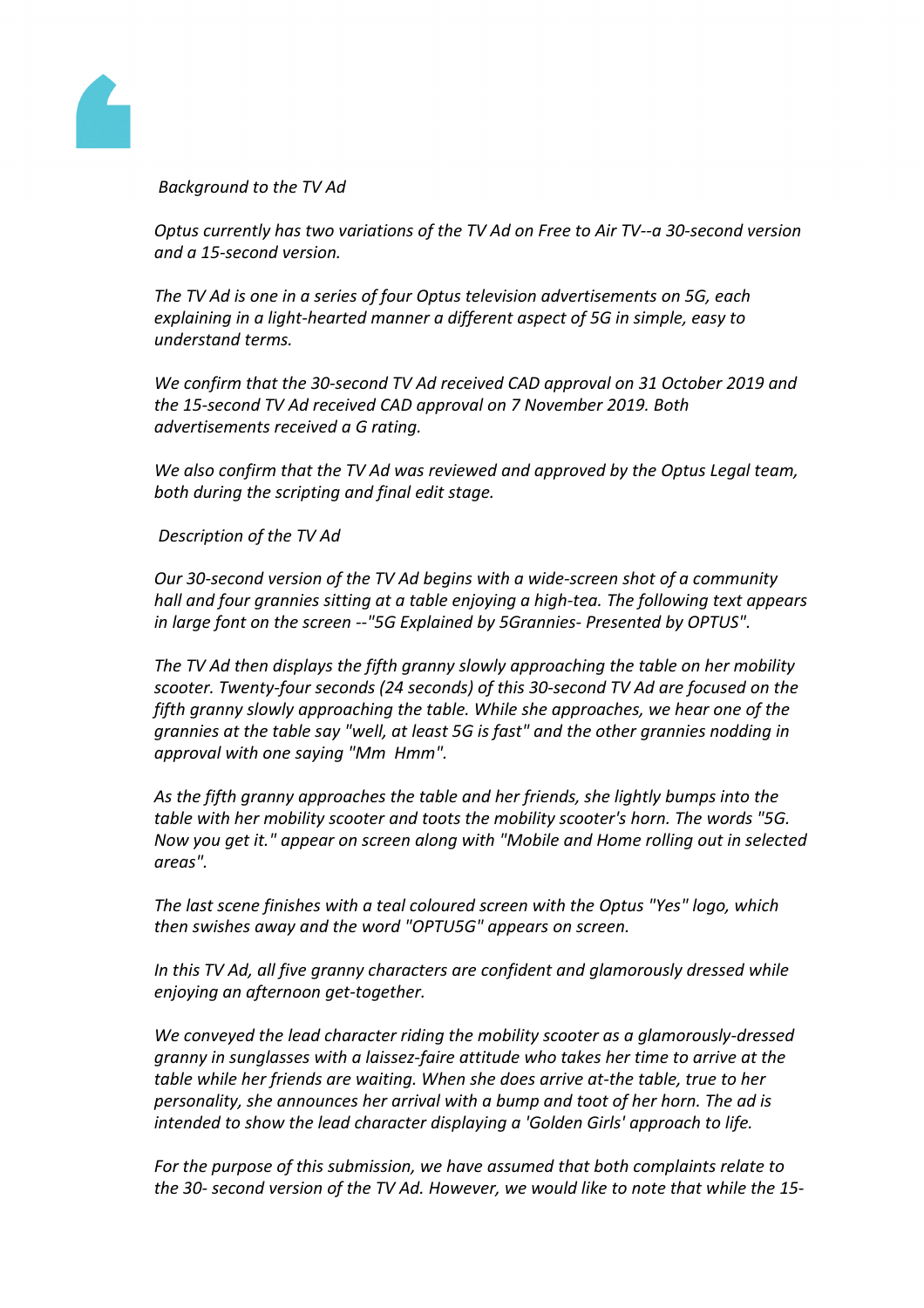

*Background to the TV Ad* 

*Optus currently has two variations of the TV Ad on Free to Air TV--a 30-second version and a 15-second version.*

*The TV Ad is one in a series of four Optus television advertisements on 5G, each explaining in a light-hearted manner a different aspect of 5G in simple, easy to understand terms.*

*We confirm that the 30-second TV Ad received CAD approval on 31 October 2019 and the 15-second TV Ad received CAD approval on 7 November 2019. Both advertisements received a G rating.*

*We also confirm that the TV Ad was reviewed and approved by the Optus Legal team, both during the scripting and final edit stage.*

*Description of the TV Ad*

*Our 30-second version of the TV Ad begins with a wide-screen shot of a community hall and four grannies sitting at a table enjoying a high-tea. The following text appears in large font on the screen --"5G Explained by 5Grannies- Presented by OPTUS".*

*The TV Ad then displays the fifth granny slowly approaching the table on her mobility scooter. Twenty-four seconds (24 seconds) of this 30-second TV Ad are focused on the fifth granny slowly approaching the table. While she approaches, we hear one of the grannies at the table say "well, at least 5G is fast" and the other grannies nodding in approval with one saying "Mm Hmm".*

*As the fifth granny approaches the table and her friends, she lightly bumps into the table with her mobility scooter and toots the mobility scooter's horn. The words "5G. Now you get it." appear on screen along with "Mobile and Home rolling out in selected areas".*

*The last scene finishes with a teal coloured screen with the Optus "Yes" logo, which then swishes away and the word "OPTU5G" appears on screen.*

*In this TV Ad, all five granny characters are confident and glamorously dressed while enjoying an afternoon get-together.*

*We conveyed the lead character riding the mobility scooter as a glamorously-dressed granny in sunglasses with a laissez-faire attitude who takes her time to arrive at the table while her friends are waiting. When she does arrive at-the table, true to her personality, she announces her arrival with a bump and toot of her horn. The ad is intended to show the lead character displaying a 'Golden Girls' approach to life.*

*For the purpose of this submission, we have assumed that both complaints relate to the 30- second version of the TV Ad. However, we would like to note that while the 15-*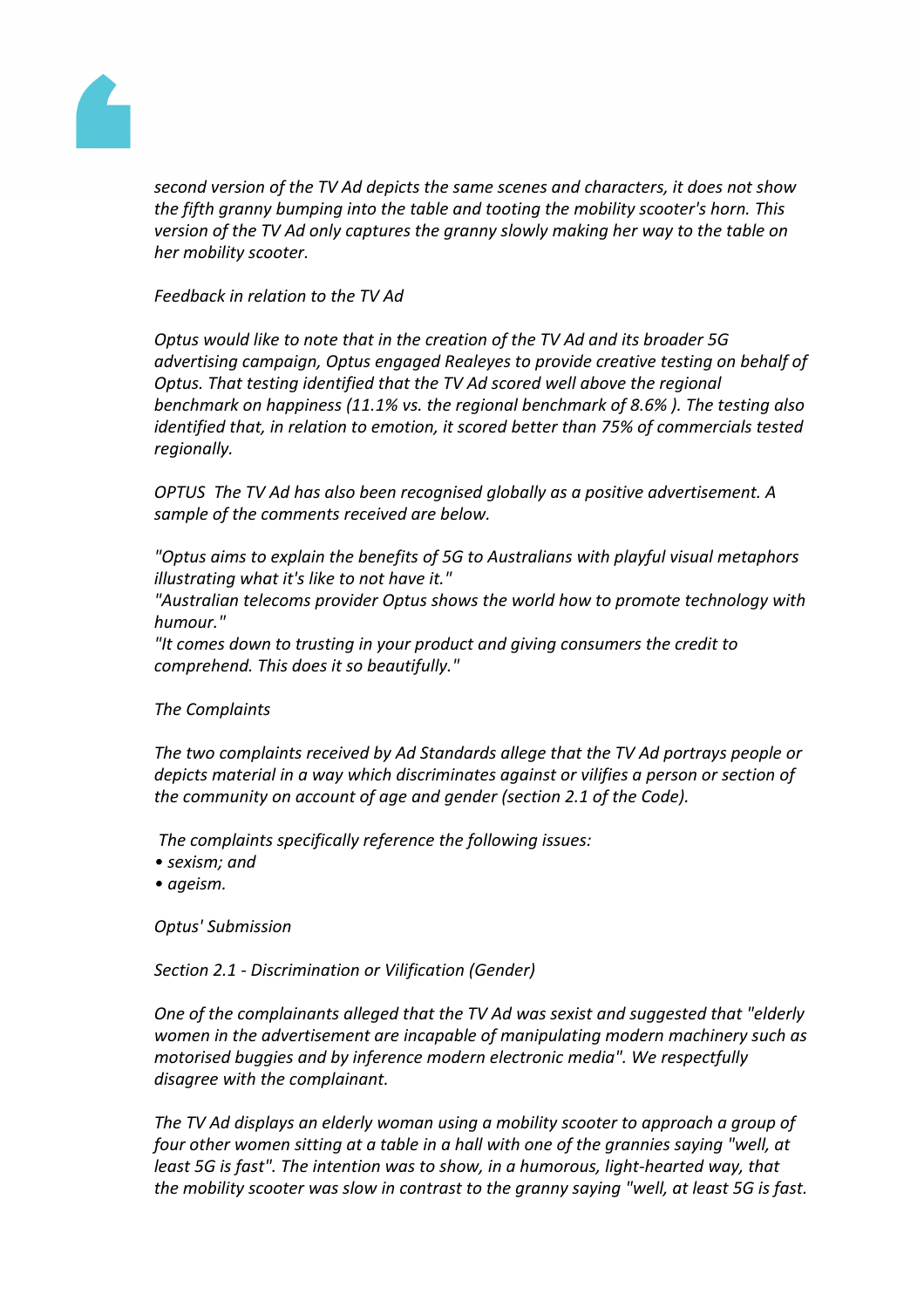

*second version of the TV Ad depicts the same scenes and characters, it does not show the fifth granny bumping into the table and tooting the mobility scooter's horn. This version of the TV Ad only captures the granny slowly making her way to the table on her mobility scooter.* 

*Feedback in relation to the TV Ad*

*Optus would like to note that in the creation of the TV Ad and its broader 5G advertising campaign, Optus engaged Realeyes to provide creative testing on behalf of Optus. That testing identified that the TV Ad scored well above the regional benchmark on happiness (11.1% vs. the regional benchmark of 8.6% ). The testing also identified that, in relation to emotion, it scored better than 75% of commercials tested regionally.*

*OPTUS The TV Ad has also been recognised globally as a positive advertisement. A sample of the comments received are below.*

*"Optus aims to explain the benefits of 5G to Australians with playful visual metaphors illustrating what it's like to not have it."*

*"Australian telecoms provider Optus shows the world how to promote technology with humour."*

*"It comes down to trusting in your product and giving consumers the credit to comprehend. This does it so beautifully."*

*The Complaints*

*The two complaints received by Ad Standards allege that the TV Ad portrays people or depicts material in a way which discriminates against or vilifies a person or section of the community on account of age and gender (section 2.1 of the Code).*

*The complaints specifically reference the following issues:*

- *• sexism; and*
- *• ageism.*

*Optus' Submission*

*Section 2.1 - Discrimination or Vilification (Gender)*

*One of the complainants alleged that the TV Ad was sexist and suggested that "elderly women in the advertisement are incapable of manipulating modern machinery such as motorised buggies and by inference modern electronic media". We respectfully disagree with the complainant.*

*The TV Ad displays an elderly woman using a mobility scooter to approach a group of four other women sitting at a table in a hall with one of the grannies saying "well, at least 5G is fast". The intention was to show, in a humorous, light-hearted way, that the mobility scooter was slow in contrast to the granny saying "well, at least 5G is fast.*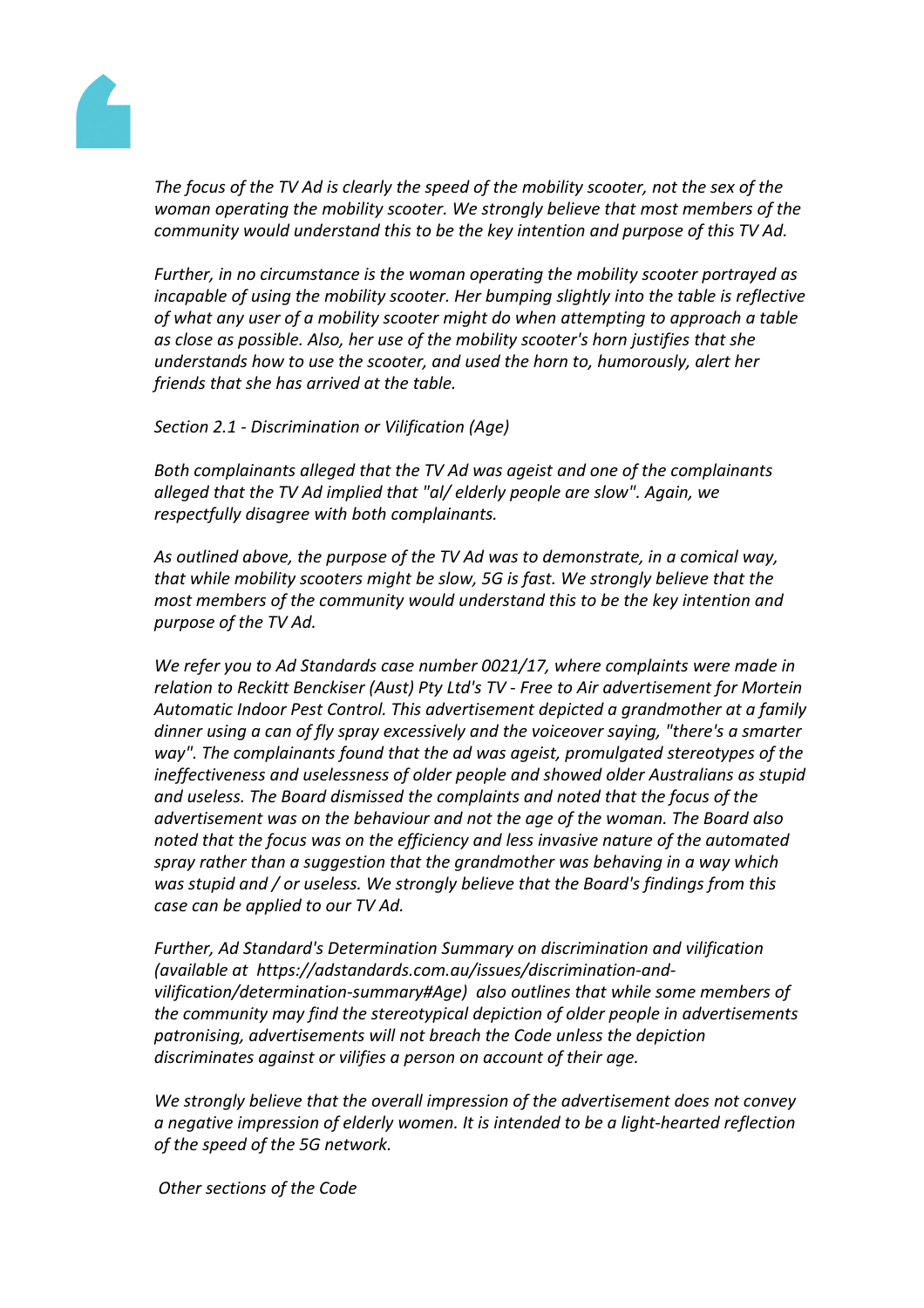

*The focus of the TV Ad is clearly the speed of the mobility scooter, not the sex of the woman operating the mobility scooter. We strongly believe that most members of the community would understand this to be the key intention and purpose of this TV Ad.*

*Further, in no circumstance is the woman operating the mobility scooter portrayed as incapable of using the mobility scooter. Her bumping slightly into the table is reflective of what any user of a mobility scooter might do when attempting to approach a table as close as possible. Also, her use of the mobility scooter's horn justifies that she understands how to use the scooter, and used the horn to, humorously, alert her friends that she has arrived at the table.*

*Section 2.1 - Discrimination or Vilification (Age)*

*Both complainants alleged that the TV Ad was ageist and one of the complainants alleged that the TV Ad implied that "al/ elderly people are slow". Again, we respectfully disagree with both complainants.*

*As outlined above, the purpose of the TV Ad was to demonstrate, in a comical way, that while mobility scooters might be slow, 5G is fast. We strongly believe that the most members of the community would understand this to be the key intention and purpose of the TV Ad.*

*We refer you to Ad Standards case number 0021/17, where complaints were made in relation to Reckitt Benckiser (Aust) Pty Ltd's TV - Free to Air advertisement for Mortein Automatic Indoor Pest Control. This advertisement depicted a grandmother at a family dinner using a can of fly spray excessively and the voiceover saying, "there's a smarter way". The complainants found that the ad was ageist, promulgated stereotypes of the ineffectiveness and uselessness of older people and showed older Australians as stupid and useless. The Board dismissed the complaints and noted that the focus of the advertisement was on the behaviour and not the age of the woman. The Board also noted that the focus was on the efficiency and less invasive nature of the automated spray rather than a suggestion that the grandmother was behaving in a way which was stupid and / or useless. We strongly believe that the Board's findings from this case can be applied to our TV Ad.*

*Further, Ad Standard's Determination Summary on discrimination and vilification (available at https://adstandards.com.au/issues/discrimination-andvilification/determination-summary#Age) also outlines that while some members of the community may find the stereotypical depiction of older people in advertisements patronising, advertisements will not breach the Code unless the depiction discriminates against or vilifies a person on account of their age.*

*We strongly believe that the overall impression of the advertisement does not convey a negative impression of elderly women. It is intended to be a light-hearted reflection of the speed of the 5G network.*

*Other sections of the Code*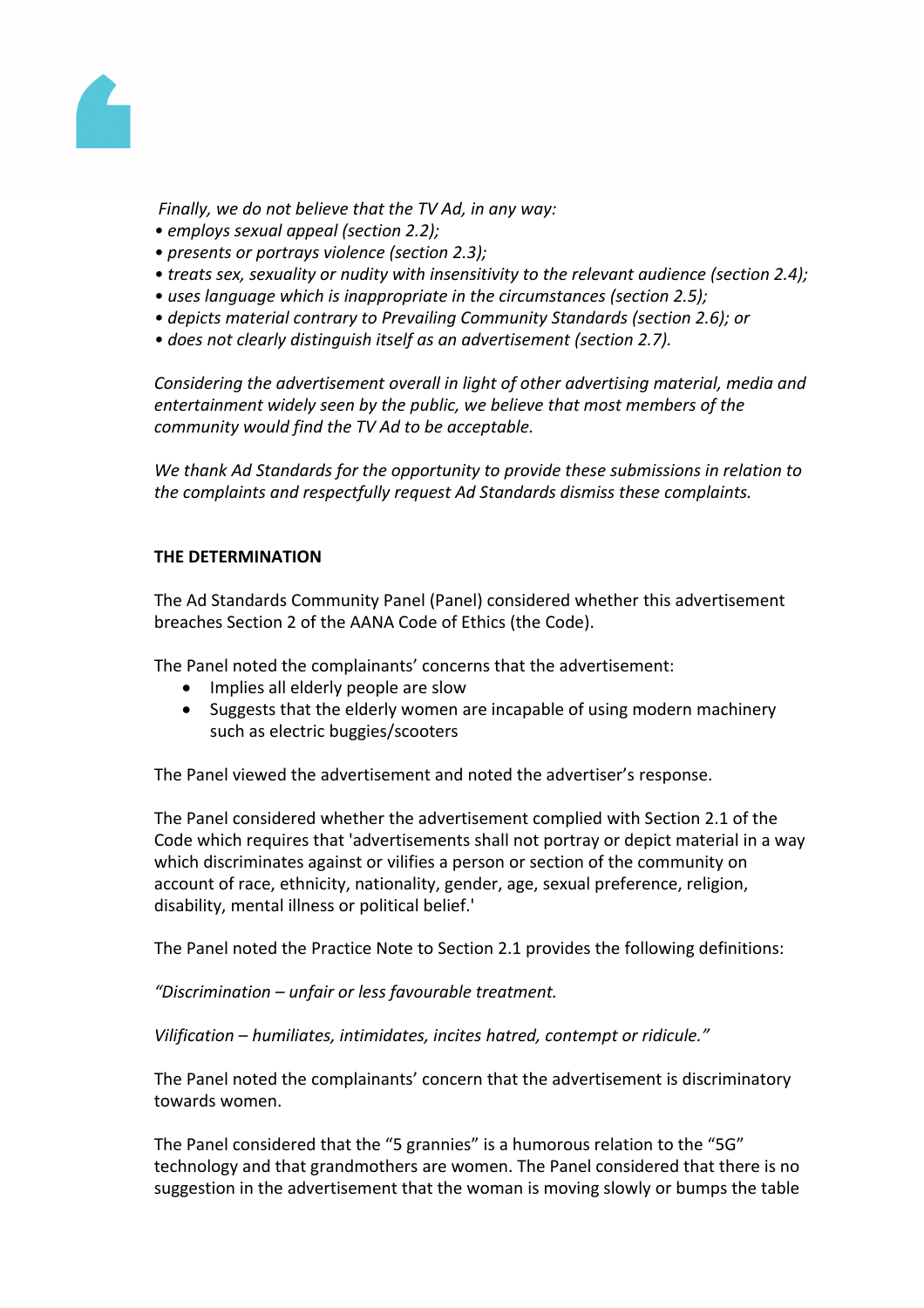

*Finally, we do not believe that the TV Ad, in any way:*

- *• employs sexual appeal (section 2.2);*
- *• presents or portrays violence (section 2.3);*
- *• treats sex, sexuality or nudity with insensitivity to the relevant audience (section 2.4);*
- *• uses language which is inappropriate in the circumstances (section 2.5);*
- *• depicts material contrary to Prevailing Community Standards (section 2.6); or*
- *• does not clearly distinguish itself as an advertisement (section 2.7).*

*Considering the advertisement overall in light of other advertising material, media and entertainment widely seen by the public, we believe that most members of the community would find the TV Ad to be acceptable.*

*We thank Ad Standards for the opportunity to provide these submissions in relation to the complaints and respectfully request Ad Standards dismiss these complaints.*

### **THE DETERMINATION**

The Ad Standards Community Panel (Panel) considered whether this advertisement breaches Section 2 of the AANA Code of Ethics (the Code).

The Panel noted the complainants' concerns that the advertisement:

- Implies all elderly people are slow
- Suggests that the elderly women are incapable of using modern machinery such as electric buggies/scooters

The Panel viewed the advertisement and noted the advertiser's response.

The Panel considered whether the advertisement complied with Section 2.1 of the Code which requires that 'advertisements shall not portray or depict material in a way which discriminates against or vilifies a person or section of the community on account of race, ethnicity, nationality, gender, age, sexual preference, religion, disability, mental illness or political belief.'

The Panel noted the Practice Note to Section 2.1 provides the following definitions:

*"Discrimination – unfair or less favourable treatment.*

*Vilification – humiliates, intimidates, incites hatred, contempt or ridicule."* 

The Panel noted the complainants' concern that the advertisement is discriminatory towards women.

The Panel considered that the "5 grannies" is a humorous relation to the "5G" technology and that grandmothers are women. The Panel considered that there is no suggestion in the advertisement that the woman is moving slowly or bumps the table